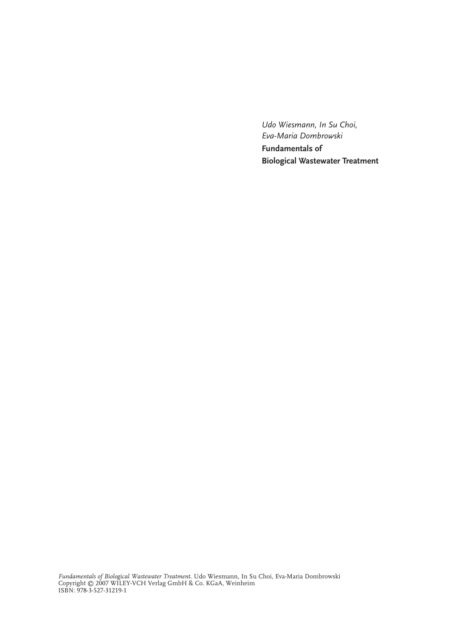*Udo Wiesmann, In Su Choi, Eva-Maria Dombrowski* **Fundamentals of Biological Wastewater Treatment**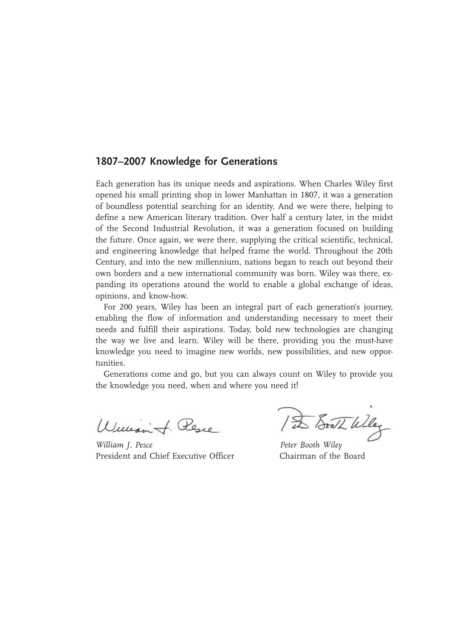# **1807–2007 Knowledge for Generations**

Each generation has its unique needs and aspirations. When Charles Wiley first opened his small printing shop in lower Manhattan in 1807, it was a generation of boundless potential searching for an identity. And we were there, helping to define a new American literary tradition. Over half a century later, in the midst of the Second Industrial Revolution, it was a generation focused on building the future. Once again, we were there, supplying the critical scientific, technical, and engineering knowledge that helped frame the world. Throughout the 20th Century, and into the new millennium, nations began to reach out beyond their own borders and a new international community was born. Wiley was there, expanding its operations around the world to enable a global exchange of ideas, opinions, and know-how.

For 200 years, Wiley has been an integral part of each generation's journey, enabling the flow of information and understanding necessary to meet their needs and fulfill their aspirations. Today, bold new technologies are changing the way we live and learn. Wiley will be there, providing you the must-have knowledge you need to imagine new worlds, new possibilities, and new opportunities.

Generations come and go, but you can always count on Wiley to provide you the knowledge you need, when and where you need it!

William J. Resce

*William J. Pesce Peter Booth Wiley* President and Chief Executive Officer Chairman of the Board

1 th Booth Wiley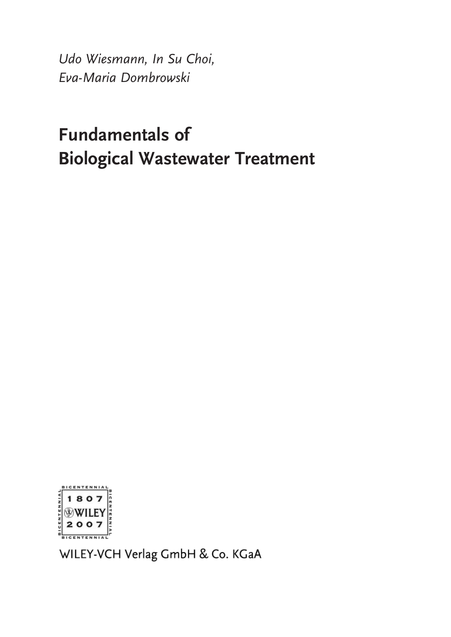*Udo Wiesmann, In Su Choi, Eva-Maria Dombrowski*

# **Fundamentals of Biological Wastewater Treatment**



WILEY-VCH Verlag GmbH & Co. KGaA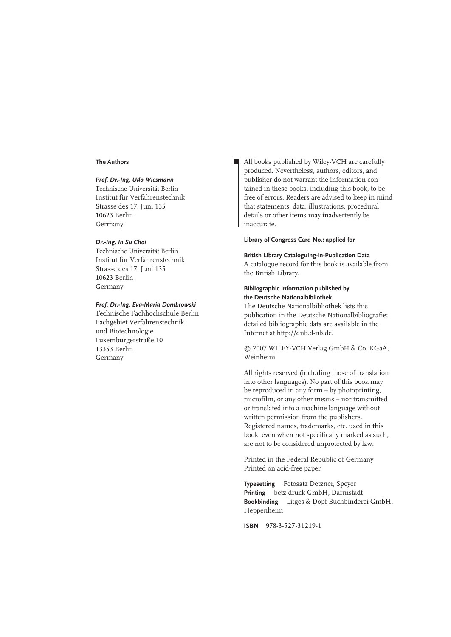#### **The Authors**

#### *Prof. Dr.-Ing. Udo Wiesmann*

Technische Universität Berlin Institut für Verfahrenstechnik Strasse des 17. Juni 135 10623 Berlin Germany

#### *Dr.-Ing. In Su Choi*

Technische Universität Berlin Institut für Verfahrenstechnik Strasse des 17. Juni 135 10623 Berlin Germany

#### *Prof. Dr.-Ing. Eva-Maria Dombrowski*

Technische Fachhochschule Berlin Fachgebiet Verfahrenstechnik und Biotechnologie Luxemburgerstraße 10 13353 Berlin Germany

All books published by Wiley-VCH are carefully produced. Nevertheless, authors, editors, and publisher do not warrant the information contained in these books, including this book, to be free of errors. Readers are advised to keep in mind that statements, data, illustrations, procedural details or other items may inadvertently be inaccurate.

#### **Library of Congress Card No.: applied for**

**British Library Cataloguing-in-Publication Data** A catalogue record for this book is available from the British Library.

#### **Bibliographic information published by the Deutsche Nationalbibliothek**

The Deutsche Nationalbibliothek lists this publication in the Deutsche Nationalbibliografie; detailed bibliographic data are available in the Internet at http://dnb.d-nb.de.

© 2007 WILEY-VCH Verlag GmbH & Co. KGaA, Weinheim

All rights reserved (including those of translation into other languages). No part of this book may be reproduced in any form – by photoprinting, microfilm, or any other means – nor transmitted or translated into a machine language without written permission from the publishers. Registered names, trademarks, etc. used in this book, even when not specifically marked as such, are not to be considered unprotected by law.

Printed in the Federal Republic of Germany Printed on acid-free paper

**Typesetting** Fotosatz Detzner, Speyer **Printing** betz-druck GmbH, Darmstadt **Bookbinding** Litges & Dopf Buchbinderei GmbH, Heppenheim

**ISBN** 978-3-527-31219-1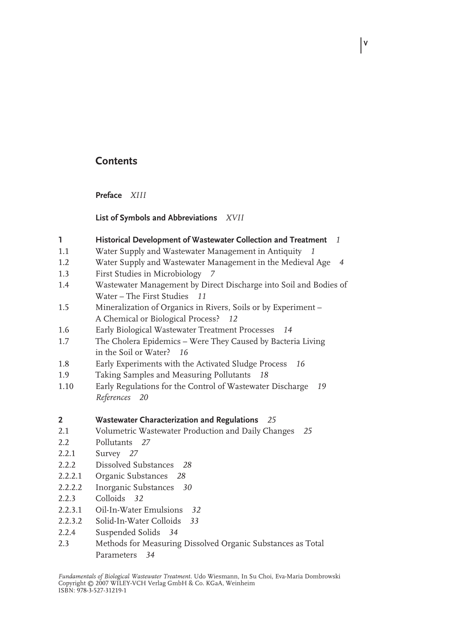# **Contents**

**Preface** *XIII*

## **List of Symbols and Abbreviations** *XVII*

**V**

| ı              | Historical Development of Wastewater Collection and Treatment<br>1                                     |
|----------------|--------------------------------------------------------------------------------------------------------|
| 1.1            | Water Supply and Wastewater Management in Antiquity<br>- 1                                             |
| 1.2            | Water Supply and Wastewater Management in the Medieval Age<br>$\overline{4}$                           |
| 1.3            | First Studies in Microbiology 7                                                                        |
| 1.4            | Wastewater Management by Direct Discharge into Soil and Bodies of<br>Water - The First Studies<br>11   |
| 1.5            | Mineralization of Organics in Rivers, Soils or by Experiment -<br>A Chemical or Biological Process? 12 |
| 1.6            | Early Biological Wastewater Treatment Processes<br>14                                                  |
| 1.7            | The Cholera Epidemics - Were They Caused by Bacteria Living<br>in the Soil or Water? 16                |
| 1.8            | Early Experiments with the Activated Sludge Process<br>16                                              |
| 1.9            | Taking Samples and Measuring Pollutants<br>18                                                          |
| 1.10           | Early Regulations for the Control of Wastewater Discharge<br>19                                        |
|                | References 20                                                                                          |
| $\overline{2}$ | Wastewater Characterization and Regulations<br>25                                                      |
| 2.1            | Volumetric Wastewater Production and Daily Changes<br>25                                               |
| 2.2            | Pollutants 27                                                                                          |
| 2.2.1          | Survey 27                                                                                              |
| 2.2.2          | Dissolved Substances<br>- 28                                                                           |
| 2.2.2.1        | Organic Substances 28                                                                                  |
| 2.2.2.2        | Inorganic Substances 30                                                                                |
| 2.2.3          | Colloids 32                                                                                            |
| 2.2.3.1        | Oil-In-Water Emulsions<br>32                                                                           |
| 2.2.3.2        | Solid-In-Water Colloids<br>33                                                                          |
| 2.2.4          | Suspended Solids 34                                                                                    |
| 2.3            | Methods for Measuring Dissolved Organic Substances as Total                                            |
|                | 34<br>Parameters                                                                                       |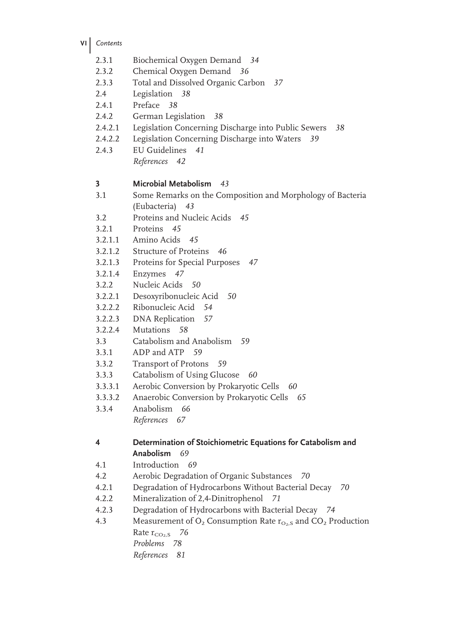**VI** *Contents*

| 2.3.1<br>2.3.2<br>2.3.3<br>2.4<br>2.4.1<br>2.4.2<br>2.4.2.1<br>2.4.2.2<br>2.4.3 | Biochemical Oxygen Demand 34<br>Chemical Oxygen Demand 36<br>Total and Dissolved Organic Carbon<br>37<br>Legislation 38<br>Preface 38<br>German Legislation<br>- 38<br>Legislation Concerning Discharge into Public Sewers<br>38<br>Legislation Concerning Discharge into Waters<br>39<br><b>EU</b> Guidelines<br>41<br>References 42 |
|---------------------------------------------------------------------------------|---------------------------------------------------------------------------------------------------------------------------------------------------------------------------------------------------------------------------------------------------------------------------------------------------------------------------------------|
| 3                                                                               | Microbial Metabolism<br>43                                                                                                                                                                                                                                                                                                            |
| 3.1                                                                             | Some Remarks on the Composition and Morphology of Bacteria<br>(Eubacteria) 43                                                                                                                                                                                                                                                         |
| 3.2                                                                             | Proteins and Nucleic Acids 45                                                                                                                                                                                                                                                                                                         |
| 3.2.1                                                                           | Proteins 45                                                                                                                                                                                                                                                                                                                           |
| 3.2.1.1                                                                         | Amino Acids<br>- 45                                                                                                                                                                                                                                                                                                                   |
| 3.2.1.2                                                                         | Structure of Proteins 46                                                                                                                                                                                                                                                                                                              |
| 3.2.1.3                                                                         | Proteins for Special Purposes 47                                                                                                                                                                                                                                                                                                      |
| 3.2.1.4                                                                         | Enzymes<br>47                                                                                                                                                                                                                                                                                                                         |
| 3.2.2                                                                           | Nucleic Acids<br>- 50                                                                                                                                                                                                                                                                                                                 |
| 3.2.2.1                                                                         | Desoxyribonucleic Acid<br>50                                                                                                                                                                                                                                                                                                          |
| 3.2.2.2                                                                         | Ribonucleic Acid<br>-54                                                                                                                                                                                                                                                                                                               |
| 3.2.2.3                                                                         | <b>DNA</b> Replication<br>57                                                                                                                                                                                                                                                                                                          |
| 3.2.2.4                                                                         | Mutations 58                                                                                                                                                                                                                                                                                                                          |
| 3.3                                                                             | Catabolism and Anabolism<br>59                                                                                                                                                                                                                                                                                                        |
| 3.3.1                                                                           | ADP and ATP<br>- 59                                                                                                                                                                                                                                                                                                                   |
| 3.3.2                                                                           | Transport of Protons<br>59                                                                                                                                                                                                                                                                                                            |
| 3.3.3                                                                           | Catabolism of Using Glucose<br>60                                                                                                                                                                                                                                                                                                     |
| 3.3.3.1                                                                         | Aerobic Conversion by Prokaryotic Cells<br>-60                                                                                                                                                                                                                                                                                        |
| 3.3.3.2                                                                         | Anaerobic Conversion by Prokaryotic Cells<br>65                                                                                                                                                                                                                                                                                       |
| 3.3.4                                                                           | Anabolism<br>66                                                                                                                                                                                                                                                                                                                       |
|                                                                                 | References 67                                                                                                                                                                                                                                                                                                                         |
| 4                                                                               | Determination of Stoichiometric Equations for Catabolism and<br>Anabolism<br>69                                                                                                                                                                                                                                                       |
| 4.1                                                                             | Introduction 69                                                                                                                                                                                                                                                                                                                       |
| 4.2                                                                             | Aerobic Degradation of Organic Substances<br>70                                                                                                                                                                                                                                                                                       |
| 4.2.1                                                                           | Degradation of Hydrocarbons Without Bacterial Decay<br>70                                                                                                                                                                                                                                                                             |
| 4.2.2                                                                           | Mineralization of 2,4-Dinitrophenol<br>71                                                                                                                                                                                                                                                                                             |
| 4.2.3                                                                           | Degradation of Hydrocarbons with Bacterial Decay<br>74                                                                                                                                                                                                                                                                                |
| 4.3                                                                             | Measurement of $O_2$ Consumption Rate $r_{O_2,S}$ and $CO_2$ Production                                                                                                                                                                                                                                                               |
|                                                                                 | Rate $r_{CO_2,S}$<br>76                                                                                                                                                                                                                                                                                                               |
|                                                                                 | Problems<br>78                                                                                                                                                                                                                                                                                                                        |
|                                                                                 | References<br>81                                                                                                                                                                                                                                                                                                                      |
|                                                                                 |                                                                                                                                                                                                                                                                                                                                       |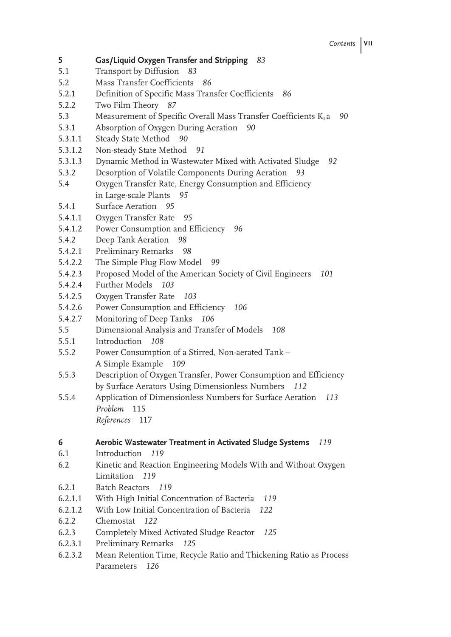**5 Gas/Liquid Oxygen Transfer and Stripping** *83* 5.1 Transport by Diffusion *83* 5.2 Mass Transfer Coefficients *86* 5.2.1 Definition of Specific Mass Transfer Coefficients *86* 5.2.2 Two Film Theory *87* 5.3 Measurement of Specific Overall Mass Transfer Coefficients K<sub>L</sub>a 90 5.3.1 Absorption of Oxygen During Aeration *90* 5.3.1.1 Steady State Method *90* 5.3.1.2 Non-steady State Method *91* 5.3.1.3 Dynamic Method in Wastewater Mixed with Activated Sludge *92* 5.3.2 Desorption of Volatile Components During Aeration *93* 5.4 Oxygen Transfer Rate, Energy Consumption and Efficiency in Large-scale Plants *95* 5.4.1 Surface Aeration *95* 5.4.1.1 Oxygen Transfer Rate *95* 5.4.1.2 Power Consumption and Efficiency *96* 5.4.2 Deep Tank Aeration *98* 5.4.2.1 Preliminary Remarks *98* 5.4.2.2 The Simple Plug Flow Model *99* 5.4.2.3 Proposed Model of the American Society of Civil Engineers *101* 5.4.2.4 Further Models *103* 5.4.2.5 Oxygen Transfer Rate *103* 5.4.2.6 Power Consumption and Efficiency *106* 5.4.2.7 Monitoring of Deep Tanks *106* 5.5 Dimensional Analysis and Transfer of Models *108* 5.5.1 Introduction *108* 5.5.2 Power Consumption of a Stirred, Non-aerated Tank – A Simple Example *109* 5.5.3 Description of Oxygen Transfer, Power Consumption and Efficiency by Surface Aerators Using Dimensionless Numbers *112* 5.5.4 Application of Dimensionless Numbers for Surface Aeration *113 Problem* 115 *References* 117 **6 Aerobic Wastewater Treatment in Activated Sludge Systems** *119* 6.1 Introduction *119* 6.2 Kinetic and Reaction Engineering Models With and Without Oxygen Limitation *119* 6.2.1 Batch Reactors *119* 6.2.1.1 With High Initial Concentration of Bacteria *119* 6.2.1.2 With Low Initial Concentration of Bacteria *122* 6.2.2 Chemostat *122* 6.2.3 Completely Mixed Activated Sludge Reactor *125* 6.2.3.1 Preliminary Remarks *125* 6.2.3.2 Mean Retention Time, Recycle Ratio and Thickening Ratio as Process

Parameters *126*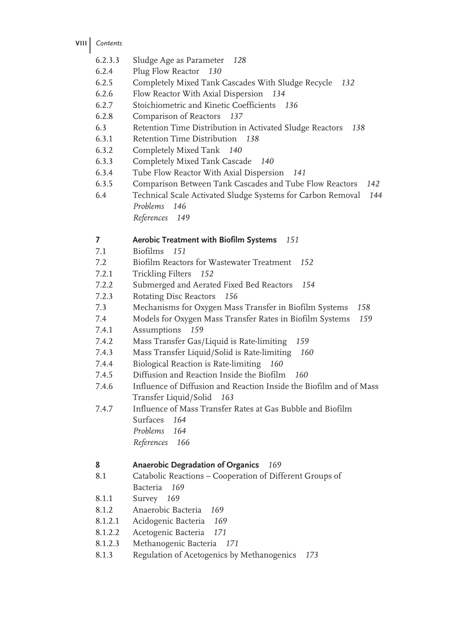- **VIII** *Contents*
	- 6.2.3.3 Sludge Age as Parameter *128*
	- 6.2.4 Plug Flow Reactor *130*
	- 6.2.5 Completely Mixed Tank Cascades With Sludge Recycle *132*
	- 6.2.6 Flow Reactor With Axial Dispersion *134*
	- 6.2.7 Stoichiometric and Kinetic Coefficients *136*
	- 6.2.8 Comparison of Reactors *137*
	- 6.3 Retention Time Distribution in Activated Sludge Reactors *138*
	- 6.3.1 Retention Time Distribution *138*
	- 6.3.2 Completely Mixed Tank *140*
	- 6.3.3 Completely Mixed Tank Cascade *140*
	- 6.3.4 Tube Flow Reactor With Axial Dispersion *141*
	- 6.3.5 Comparison Between Tank Cascades and Tube Flow Reactors *142*

6.4 Technical Scale Activated Sludge Systems for Carbon Removal *144 Problems 146*

*References 149*

#### **7 Aerobic Treatment with Biofilm Systems** *151*

- 7.1 Biofilms *151*
- 7.2 Biofilm Reactors for Wastewater Treatment *152*
- 7.2.1 Trickling Filters *152*
- 7.2.2 Submerged and Aerated Fixed Bed Reactors *154*
- 7.2.3 Rotating Disc Reactors *156*
- 7.3 Mechanisms for Oxygen Mass Transfer in Biofilm Systems *158*
- 7.4 Models for Oxygen Mass Transfer Rates in Biofilm Systems *159*
- 7.4.1 Assumptions *159*
- 7.4.2 Mass Transfer Gas/Liquid is Rate-limiting *159*
- 7.4.3 Mass Transfer Liquid/Solid is Rate-limiting *160*
- 7.4.4 Biological Reaction is Rate-limiting *160*
- 7.4.5 Diffusion and Reaction Inside the Biofilm *160*
- 7.4.6 Influence of Diffusion and Reaction Inside the Biofilm and of Mass Transfer Liquid/Solid *163*

7.4.7 Influence of Mass Transfer Rates at Gas Bubble and Biofilm Surfaces *164 Problems 164 References 166*

#### **8 Anaerobic Degradation of Organics** *169*

- 8.1 Catabolic Reactions Cooperation of Different Groups of Bacteria *169*
- 8.1.1 Survey *169*
- 8.1.2 Anaerobic Bacteria *169*
- 8.1.2.1 Acidogenic Bacteria *169*
- 8.1.2.2 Acetogenic Bacteria *171*
- 8.1.2.3 Methanogenic Bacteria *171*
- 8.1.3 Regulation of Acetogenics by Methanogenics *173*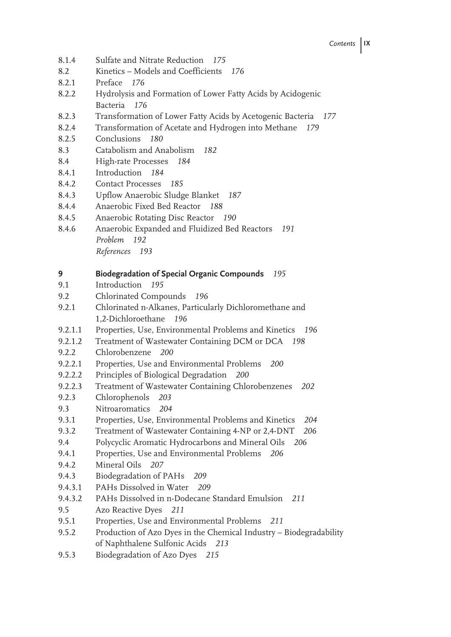- 8.1.4 Sulfate and Nitrate Reduction *175*
- 8.2 Kinetics Models and Coefficients *176*
- 8.2.1 Preface *176*
- 8.2.2 Hydrolysis and Formation of Lower Fatty Acids by Acidogenic Bacteria *176*
- 8.2.3 Transformation of Lower Fatty Acids by Acetogenic Bacteria *177*
- 8.2.4 Transformation of Acetate and Hydrogen into Methane *179*
- 8.2.5 Conclusions *180*
- 8.3 Catabolism and Anabolism *182*
- 8.4 High-rate Processes *184*
- 8.4.1 Introduction *184*
- 8.4.2 Contact Processes *185*
- 8.4.3 Upflow Anaerobic Sludge Blanket *187*
- 8.4.4 Anaerobic Fixed Bed Reactor *188*
- 8.4.5 Anaerobic Rotating Disc Reactor *190*
- 8.4.6 Anaerobic Expanded and Fluidized Bed Reactors *191 Problem 192 References 193*

### **9 Biodegradation of Special Organic Compounds** *195*

- 9.1 Introduction *195*
- 9.2 Chlorinated Compounds *196*
- 9.2.1 Chlorinated n-Alkanes, Particularly Dichloromethane and 1,2-Dichloroethane *196*
- 9.2.1.1 Properties, Use, Environmental Problems and Kinetics *196*
- 9.2.1.2 Treatment of Wastewater Containing DCM or DCA *198*
- 9.2.2 Chlorobenzene *200*
- 9.2.2.1 Properties, Use and Environmental Problems *200*
- 9.2.2.2 Principles of Biological Degradation *200*
- 9.2.2.3 Treatment of Wastewater Containing Chlorobenzenes *202*
- 9.2.3 Chlorophenols *203*
- 9.3 Nitroaromatics *204*
- 9.3.1 Properties, Use, Environmental Problems and Kinetics *204*
- 9.3.2 Treatment of Wastewater Containing 4-NP or 2,4-DNT *206*
- 9.4 Polycyclic Aromatic Hydrocarbons and Mineral Oils *206*
- 9.4.1 Properties, Use and Environmental Problems *206*
- 9.4.2 Mineral Oils *207*
- 9.4.3 Biodegradation of PAHs *209*
- 9.4.3.1 PAHs Dissolved in Water *209*
- 9.4.3.2 PAHs Dissolved in n-Dodecane Standard Emulsion *211*
- 9.5 Azo Reactive Dyes *211*
- 9.5.1 Properties, Use and Environmental Problems *211*
- 9.5.2 Production of Azo Dyes in the Chemical Industry Biodegradability of Naphthalene Sulfonic Acids *213*
- 9.5.3 Biodegradation of Azo Dyes *215*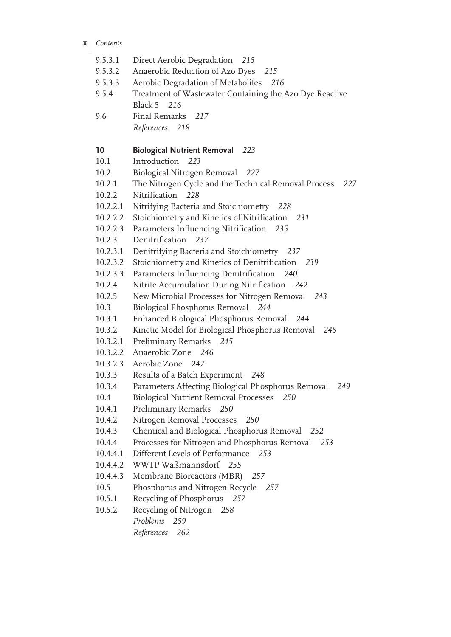**X** *Contents*

| 9.5.3.1  | Direct Aerobic Degradation 215                              |
|----------|-------------------------------------------------------------|
| 9.5.3.2  | Anaerobic Reduction of Azo Dyes<br>215                      |
| 9.5.3.3  | Aerobic Degradation of Metabolites<br>216                   |
| 9.5.4    | Treatment of Wastewater Containing the Azo Dye Reactive     |
|          | Black 5<br>- 216                                            |
| 9.6      | Final Remarks<br>217                                        |
|          | References 218                                              |
|          |                                                             |
| 10       | <b>Biological Nutrient Removal</b><br>223                   |
| 10.1     | Introduction 223                                            |
| 10.2     | Biological Nitrogen Removal<br>- 227                        |
| 10.2.1   | The Nitrogen Cycle and the Technical Removal Process<br>227 |
| 10.2.2   | Nitrification 228                                           |
| 10.2.2.1 | Nitrifying Bacteria and Stoichiometry 228                   |
| 10.2.2.2 | Stoichiometry and Kinetics of Nitrification<br>231          |
| 10.2.2.3 | Parameters Influencing Nitrification<br>235                 |
| 10.2.3   | Denitrification 237                                         |
| 10.2.3.1 | Denitrifying Bacteria and Stoichiometry 237                 |
| 10.2.3.2 | Stoichiometry and Kinetics of Denitrification<br>239        |
| 10.2.3.3 | Parameters Influencing Denitrification 240                  |
| 10.2.4   | Nitrite Accumulation During Nitrification<br>242            |
| 10.2.5   | New Microbial Processes for Nitrogen Removal<br>243         |
| 10.3     | Biological Phosphorus Removal 244                           |
| 10.3.1   | Enhanced Biological Phosphorus Removal<br>244               |
| 10.3.2   | Kinetic Model for Biological Phosphorus Removal<br>245      |
| 10.3.2.1 | Preliminary Remarks 245                                     |
| 10.3.2.2 | Anaerobic Zone<br>246                                       |
| 10.3.2.3 | Aerobic Zone 247                                            |
| 10.3.3   | Results of a Batch Experiment<br>248                        |
| 10.3.4   | Parameters Affecting Biological Phosphorus Removal<br>249   |
| 10.4     | <b>Biological Nutrient Removal Processes</b><br>250         |
| 10.4.1   | Preliminary Remarks 250                                     |
| 10.4.2   | Nitrogen Removal Processes<br>250                           |
| 10.4.3   | Chemical and Biological Phosphorus Removal 252              |
| 10.4.4   | Processes for Nitrogen and Phosphorus Removal<br>253        |
| 10.4.4.1 | Different Levels of Performance<br>253                      |
| 10.4.4.2 | WWTP Waßmannsdorf 255                                       |
| 10.4.4.3 | Membrane Bioreactors (MBR)<br>257                           |
| 10.5     | Phosphorus and Nitrogen Recycle<br>257                      |
| 10.5.1   | Recycling of Phosphorus<br>257                              |
| 10.5.2   | Recycling of Nitrogen<br>258                                |
|          | Problems<br>259                                             |
|          | References<br>262                                           |
|          |                                                             |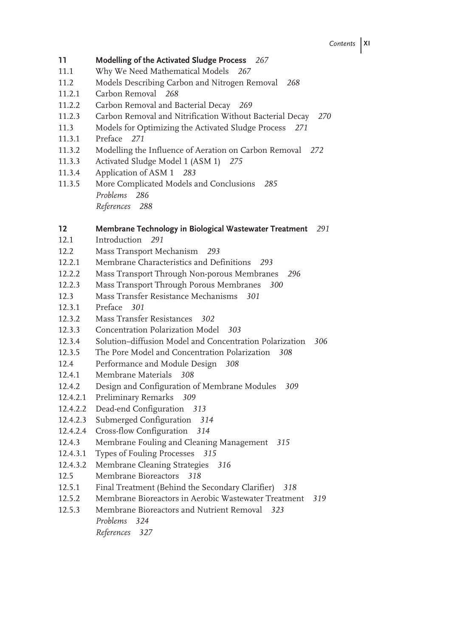- **11 Modelling of the Activated Sludge Process** *267*
- 11.1 Why We Need Mathematical Models *267*
- 11.2 Models Describing Carbon and Nitrogen Removal *268*
- 11.2.1 Carbon Removal *268*
- 11.2.2 Carbon Removal and Bacterial Decay *269*
- 11.2.3 Carbon Removal and Nitrification Without Bacterial Decay *270*
- 11.3 Models for Optimizing the Activated Sludge Process *271*
- 11.3.1 Preface *271*
- 11.3.2 Modelling the Influence of Aeration on Carbon Removal *272*
- 11.3.3 Activated Sludge Model 1 (ASM 1) *275*
- 11.3.4 Application of ASM 1 *283*
- 11.3.5 More Complicated Models and Conclusions *285 Problems 286 References 288*

## **12 Membrane Technology in Biological Wastewater Treatment** *291*

- 12.1 Introduction *291*
- 12.2 Mass Transport Mechanism *293*
- 12.2.1 Membrane Characteristics and Definitions *293*
- 12.2.2 Mass Transport Through Non-porous Membranes *296*
- 12.2.3 Mass Transport Through Porous Membranes *300*
- 12.3 Mass Transfer Resistance Mechanisms *301*
- 12.3.1 Preface *301*
- 12.3.2 Mass Transfer Resistances *302*
- 12.3.3 Concentration Polarization Model *303*
- 12.3.4 Solution–diffusion Model and Concentration Polarization *306*
- 12.3.5 The Pore Model and Concentration Polarization *308*
- 12.4 Performance and Module Design *308*
- 12.4.1 Membrane Materials *308*
- 12.4.2 Design and Configuration of Membrane Modules *309*
- 12.4.2.1 Preliminary Remarks *309*
- 12.4.2.2 Dead-end Configuration *313*
- 12.4.2.3 Submerged Configuration *314*
- 12.4.2.4 Cross-flow Configuration *314*
- 12.4.3 Membrane Fouling and Cleaning Management *315*
- 12.4.3.1 Types of Fouling Processes *315*
- 12.4.3.2 Membrane Cleaning Strategies *316*
- 12.5 Membrane Bioreactors *318*
- 12.5.1 Final Treatment (Behind the Secondary Clarifier) *318*
- 12.5.2 Membrane Bioreactors in Aerobic Wastewater Treatment *319*
- 12.5.3 Membrane Bioreactors and Nutrient Removal *323 Problems 324 References 327*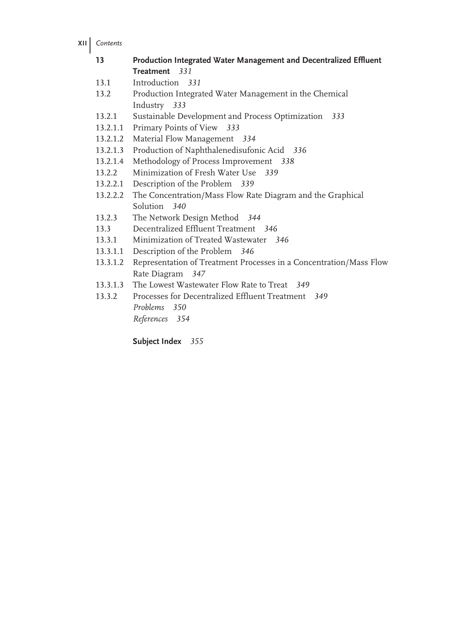**XII** *Contents*

| 13 |               | Production Integrated Water Management and Decentralized Effluent |  |  |
|----|---------------|-------------------------------------------------------------------|--|--|
|    | Treatment 331 |                                                                   |  |  |

- 13.1 Introduction *331*
- 13.2 Production Integrated Water Management in the Chemical Industry *333*
- 13.2.1 Sustainable Development and Process Optimization *333*
- 13.2.1.1 Primary Points of View *333*
- 13.2.1.2 Material Flow Management *334*
- 13.2.1.3 Production of Naphthalenedisufonic Acid *336*
- 13.2.1.4 Methodology of Process Improvement *338*
- 13.2.2 Minimization of Fresh Water Use *339*
- 13.2.2.1 Description of the Problem *339*
- 13.2.2.2 The Concentration/Mass Flow Rate Diagram and the Graphical Solution *340*
- 13.2.3 The Network Design Method *344*
- 13.3 Decentralized Effluent Treatment *346*
- 13.3.1 Minimization of Treated Wastewater *346*
- 13.3.1.1 Description of the Problem *346*
- 13.3.1.2 Representation of Treatment Processes in a Concentration/Mass Flow Rate Diagram *347*
- 13.3.1.3 The Lowest Wastewater Flow Rate to Treat *349*
- 13.3.2 Processes for Decentralized Effluent Treatment *349 Problems 350 References 354*
	- **Subject Index** *355*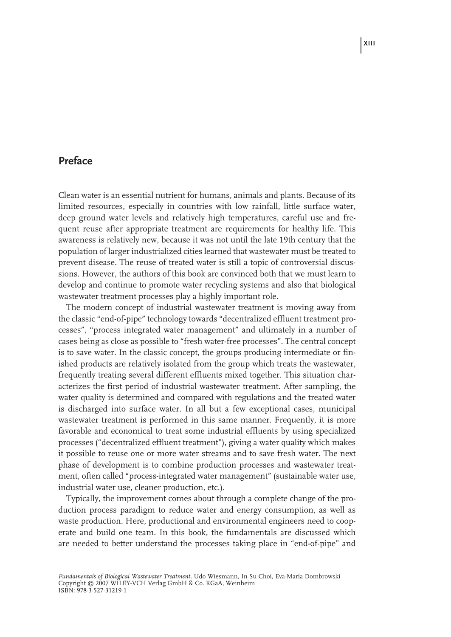# **Preface**

Clean water is an essential nutrient for humans, animals and plants. Because of its limited resources, especially in countries with low rainfall, little surface water, deep ground water levels and relatively high temperatures, careful use and frequent reuse after appropriate treatment are requirements for healthy life. This awareness is relatively new, because it was not until the late 19th century that the population of larger industrialized cities learned that wastewater must be treated to prevent disease. The reuse of treated water is still a topic of controversial discussions. However, the authors of this book are convinced both that we must learn to develop and continue to promote water recycling systems and also that biological wastewater treatment processes play a highly important role.

The modern concept of industrial wastewater treatment is moving away from the classic "end-of-pipe" technology towards "decentralized effluent treatment processes", "process integrated water management" and ultimately in a number of cases being as close as possible to "fresh water-free processes". The central concept is to save water. In the classic concept, the groups producing intermediate or finished products are relatively isolated from the group which treats the wastewater, frequently treating several different effluents mixed together. This situation characterizes the first period of industrial wastewater treatment. After sampling, the water quality is determined and compared with regulations and the treated water is discharged into surface water. In all but a few exceptional cases, municipal wastewater treatment is performed in this same manner. Frequently, it is more favorable and economical to treat some industrial effluents by using specialized processes ("decentralized effluent treatment"), giving a water quality which makes it possible to reuse one or more water streams and to save fresh water. The next phase of development is to combine production processes and wastewater treatment, often called "process-integrated water management" (sustainable water use, industrial water use, cleaner production, etc.).

Typically, the improvement comes about through a complete change of the production process paradigm to reduce water and energy consumption, as well as waste production. Here, productional and environmental engineers need to cooperate and build one team. In this book, the fundamentals are discussed which are needed to better understand the processes taking place in "end-of-pipe" and

**XIII**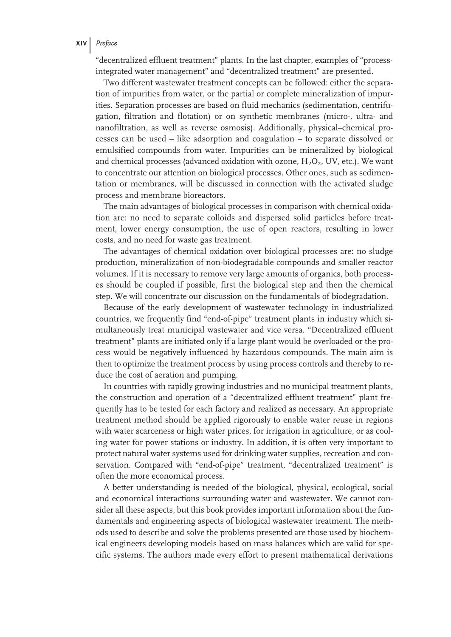"decentralized effluent treatment" plants. In the last chapter, examples of "processintegrated water management" and "decentralized treatment" are presented.

Two different wastewater treatment concepts can be followed: either the separation of impurities from water, or the partial or complete mineralization of impurities. Separation processes are based on fluid mechanics (sedimentation, centrifugation, filtration and flotation) or on synthetic membranes (micro-, ultra- and nanofiltration, as well as reverse osmosis). Additionally, physical–chemical processes can be used – like adsorption and coagulation – to separate dissolved or emulsified compounds from water. Impurities can be mineralized by biological and chemical processes (advanced oxidation with ozone,  $H_2O_2$ , UV, etc.). We want to concentrate our attention on biological processes. Other ones, such as sedimentation or membranes, will be discussed in connection with the activated sludge process and membrane bioreactors.

The main advantages of biological processes in comparison with chemical oxidation are: no need to separate colloids and dispersed solid particles before treatment, lower energy consumption, the use of open reactors, resulting in lower costs, and no need for waste gas treatment.

The advantages of chemical oxidation over biological processes are: no sludge production, mineralization of non-biodegradable compounds and smaller reactor volumes. If it is necessary to remove very large amounts of organics, both processes should be coupled if possible, first the biological step and then the chemical step. We will concentrate our discussion on the fundamentals of biodegradation.

Because of the early development of wastewater technology in industrialized countries, we frequently find "end-of-pipe" treatment plants in industry which simultaneously treat municipal wastewater and vice versa. "Decentralized effluent treatment" plants are initiated only if a large plant would be overloaded or the process would be negatively influenced by hazardous compounds. The main aim is then to optimize the treatment process by using process controls and thereby to reduce the cost of aeration and pumping.

In countries with rapidly growing industries and no municipal treatment plants, the construction and operation of a "decentralized effluent treatment" plant frequently has to be tested for each factory and realized as necessary. An appropriate treatment method should be applied rigorously to enable water reuse in regions with water scarceness or high water prices, for irrigation in agriculture, or as cooling water for power stations or industry. In addition, it is often very important to protect natural water systems used for drinking water supplies, recreation and conservation. Compared with "end-of-pipe" treatment, "decentralized treatment" is often the more economical process.

A better understanding is needed of the biological, physical, ecological, social and economical interactions surrounding water and wastewater. We cannot consider all these aspects, but this book provides important information about the fundamentals and engineering aspects of biological wastewater treatment. The methods used to describe and solve the problems presented are those used by biochemical engineers developing models based on mass balances which are valid for specific systems. The authors made every effort to present mathematical derivations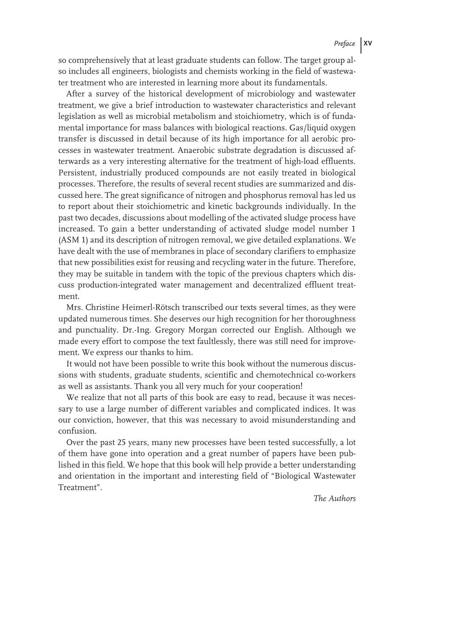so comprehensively that at least graduate students can follow. The target group also includes all engineers, biologists and chemists working in the field of wastewater treatment who are interested in learning more about its fundamentals.

After a survey of the historical development of microbiology and wastewater treatment, we give a brief introduction to wastewater characteristics and relevant legislation as well as microbial metabolism and stoichiometry, which is of fundamental importance for mass balances with biological reactions. Gas/liquid oxygen transfer is discussed in detail because of its high importance for all aerobic processes in wastewater treatment. Anaerobic substrate degradation is discussed afterwards as a very interesting alternative for the treatment of high-load effluents. Persistent, industrially produced compounds are not easily treated in biological processes. Therefore, the results of several recent studies are summarized and discussed here. The great significance of nitrogen and phosphorus removal has led us to report about their stoichiometric and kinetic backgrounds individually. In the past two decades, discussions about modelling of the activated sludge process have increased. To gain a better understanding of activated sludge model number 1 (ASM 1) and its description of nitrogen removal, we give detailed explanations. We have dealt with the use of membranes in place of secondary clarifiers to emphasize that new possibilities exist for reusing and recycling water in the future. Therefore, they may be suitable in tandem with the topic of the previous chapters which discuss production-integrated water management and decentralized effluent treatment.

Mrs. Christine Heimerl-Rötsch transcribed our texts several times, as they were updated numerous times. She deserves our high recognition for her thoroughness and punctuality. Dr.-Ing. Gregory Morgan corrected our English. Although we made every effort to compose the text faultlessly, there was still need for improvement. We express our thanks to him.

It would not have been possible to write this book without the numerous discussions with students, graduate students, scientific and chemotechnical co-workers as well as assistants. Thank you all very much for your cooperation!

We realize that not all parts of this book are easy to read, because it was necessary to use a large number of different variables and complicated indices. It was our conviction, however, that this was necessary to avoid misunderstanding and confusion.

Over the past 25 years, many new processes have been tested successfully, a lot of them have gone into operation and a great number of papers have been published in this field. We hope that this book will help provide a better understanding and orientation in the important and interesting field of "Biological Wastewater Treatment".

*The Authors*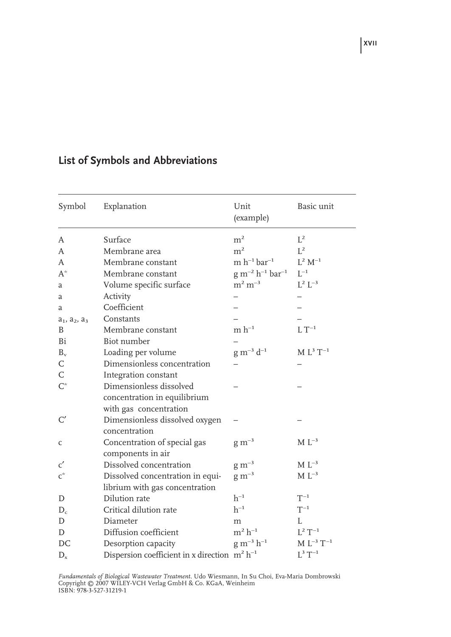| Symbol                | Explanation                                        | Unit<br>(example)          | Basic unit                     |
|-----------------------|----------------------------------------------------|----------------------------|--------------------------------|
| A                     | Surface                                            | $\rm m^2$                  | $L^2$                          |
| A                     | Membrane area                                      | $\rm m^2$                  | $L^2$                          |
| A                     | Membrane constant                                  | $m h^{-1} bar^{-1}$        | $\mathrm{L}^2~\mathrm{M}^{-1}$ |
| $A^*$                 | Membrane constant                                  | $g m^{-2} h^{-1} bar^{-1}$ | $I^{-1}$                       |
| a                     | Volume specific surface                            | $m2 m-3$                   | $L^2 L^{-3}$                   |
| a                     | Activity                                           |                            |                                |
| a                     | Coefficient                                        |                            |                                |
| $a_1$ , $a_2$ , $a_3$ | Constants                                          |                            |                                |
| B                     | Membrane constant                                  | $m h^{-1}$                 | $\mathop{\rm L} T^{-1}$        |
| Bi                    | Biot number                                        |                            |                                |
| $B_{\rm v}$           | Loading per volume                                 | $g m^{-3} d^{-1}$          | $M L3 T-1$                     |
| C                     | Dimensionless concentration                        |                            |                                |
| $\mathsf{C}$          | Integration constant                               |                            |                                |
| $C^*$                 | Dimensionless dissolved                            |                            |                                |
|                       | concentration in equilibrium                       |                            |                                |
|                       | with gas concentration                             |                            |                                |
| C'                    | Dimensionless dissolved oxygen                     |                            |                                |
|                       | concentration                                      |                            |                                |
| C                     | Concentration of special gas                       | $\rm g\ m^{-3}$            | $M L^{-3}$                     |
|                       | components in air                                  |                            |                                |
| $\mathsf{C}'$         | Dissolved concentration                            | $\rm g\ m^{-3}$            | $M L^{-3}$                     |
| $\text{C}^*$          | Dissolved concentration in equi-                   | $g m^{-3}$                 | $\rm M~L^{-3}$                 |
|                       | librium with gas concentration                     |                            |                                |
| D                     | Dilution rate                                      | $\rm h^{-1}$               | $\mathcal{T}^{-1}$             |
| $D_c$                 | Critical dilution rate                             | $h^{-1}$                   | $T^{-1}$                       |
| D                     | Diameter                                           | m                          | L                              |
| D                     | Diffusion coefficient                              | $m^2 h^{-1}$               | $L^2T^{-1}$                    |
| DC                    | Desorption capacity                                | $g m^{-3} h^{-1}$          | $M L^{-3} T^{-1}$              |
| $D_{\rm v}$           | Dispersion coefficient in x direction $m^2 h^{-1}$ |                            | $L^3 T^{-1}$                   |

# **List of Symbols and Abbreviations**

*Fundamentals of Biological Wastewater Treatment.* Udo Wiesmann, In Su Choi, Eva-Maria Dombrowski Copyright © 2007 WILEY-VCH Verlag GmbH & Co. KGaA, Weinheim ISBN: 978-3-527-31219-1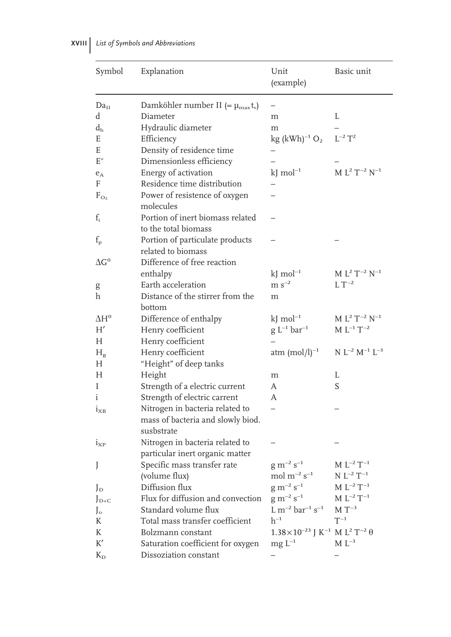| Symbol             | Explanation                                                                        | Unit<br>(example)                                                       | Basic unit                                                      |
|--------------------|------------------------------------------------------------------------------------|-------------------------------------------------------------------------|-----------------------------------------------------------------|
| Da <sub>II</sub>   | Damköhler number II (= $\mu_{\text{max}} t_v$ )                                    |                                                                         |                                                                 |
| d                  | Diameter                                                                           | m                                                                       | L                                                               |
| $d_{\rm h}$        | Hydraulic diameter                                                                 | m                                                                       |                                                                 |
| E                  | Efficiency                                                                         | kg (kWh) <sup>-1</sup> O <sub>2</sub> $L^{-2}T^2$                       |                                                                 |
| E                  | Density of residence time                                                          |                                                                         |                                                                 |
| $\mathbf{E}^*$     | Dimensionless efficiency                                                           |                                                                         |                                                                 |
| $e_{A}$            | Energy of activation                                                               | $kJ$ mol <sup>-1</sup>                                                  | $M L2 T-2 N-1$                                                  |
| F                  | Residence time distribution                                                        |                                                                         |                                                                 |
| $F_{O_2}$          | Power of resistence of oxygen<br>molecules                                         |                                                                         |                                                                 |
| $f_i$              | Portion of inert biomass related<br>to the total biomass                           |                                                                         |                                                                 |
| $f_{\rm p}$        | Portion of particulate products<br>related to biomass                              |                                                                         |                                                                 |
| $\Delta G^0$       | Difference of free reaction                                                        |                                                                         |                                                                 |
|                    | enthalpy                                                                           | $kJ$ mol <sup>-1</sup>                                                  | $\mathrm{M}$ $\mathrm{L}^2$ $\mathrm{T}^{-2}$ $\mathrm{N}^{-1}$ |
| g                  | Earth acceleration                                                                 | $\rm m~s^{-2}$                                                          | $LT^{-2}$                                                       |
| h                  | Distance of the stirrer from the<br>bottom                                         | m                                                                       |                                                                 |
| $\Delta H^{\rm o}$ | Difference of enthalpy                                                             | $kJ$ mol <sup>-1</sup>                                                  | $\mathrm{M}$ $\mathrm{L}^2$ $\mathrm{T}^{-2}$ $\mathrm{N}^{-1}$ |
| H'                 | Henry coefficient                                                                  | g $L^{-1}$ bar <sup>-1</sup>                                            | $\mathbf{M}$ $\mathbf{L}^{-1}$ $\mathbf{T}^{-2}$                |
| H                  | Henry coefficient                                                                  |                                                                         |                                                                 |
| $H_g$              | Henry coefficient                                                                  | atm $(mol/l)^{-1}$                                                      | $\rm N~L^{-2}~M^{-1}~L^{-3}$                                    |
| Н                  | "Height" of deep tanks                                                             |                                                                         |                                                                 |
| Н                  | Height                                                                             | m                                                                       | L                                                               |
| Ι                  | Strength of a electric current                                                     | Α                                                                       | S                                                               |
| i                  | Strength of electric carrent                                                       | А                                                                       |                                                                 |
| $i_{XB}$           | Nitrogen in bacteria related to<br>mass of bacteria and slowly biod.<br>susbstrate |                                                                         |                                                                 |
| $1_{XP}$           | Nitrogen in bacteria related to<br>particular inert organic matter                 |                                                                         |                                                                 |
| J                  | Specific mass transfer rate                                                        | $\rm g~m^{-2}~s^{-1}$                                                   | $M L^{-2} T^{-1}$                                               |
|                    | (volume flux)                                                                      | mol $m^{-2} s^{-1}$                                                     | $N L^{-2} T^{-1}$                                               |
| $J_D$              | Diffusion flux                                                                     | $\rm g~m^{-2}~s^{-1}$                                                   | $\rm M~L^{-2}~T^{-1}$                                           |
| $J_{D+C}$          | Flux for diffusion and convection                                                  | $\rm g\ m^{-2}\ s^{-1}$                                                 | $\rm M~L^{-2}~T^{-1}$                                           |
| $J_{\circ}$        | Standard volume flux                                                               | $L m^{-2}$ $bar^{-1} s^{-1}$                                            | $\rm M~T^{-3}$                                                  |
| K                  | Total mass transfer coefficient                                                    | $h^{-1}$                                                                | $T^{-1}$                                                        |
| K                  | Bolzmann constant                                                                  | $1.38{\times}10^{-23}$ J $\rm K^{-1}$ M $\rm L^2$ $\rm T^{-2}$ $\theta$ |                                                                 |
| $\rm K'$           | Saturation coefficient for oxygen                                                  | mg $\mathbf{L}^{-1}$                                                    | $\rm M~L^{-3}$                                                  |
| $K_D$              | Dissoziation constant                                                              |                                                                         |                                                                 |

**XVIII** *List of Symbols and Abbreviations*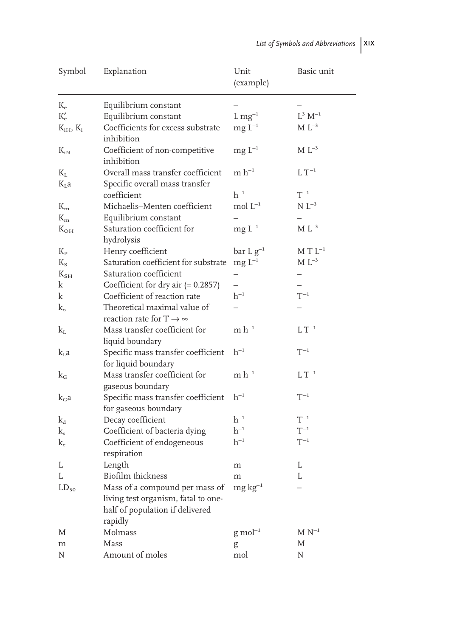|                             |                                                                                                                     |                          | List of Symbols and Abbreviations |
|-----------------------------|---------------------------------------------------------------------------------------------------------------------|--------------------------|-----------------------------------|
| Symbol                      | Explanation                                                                                                         | Unit<br>(example)        | Basic unit                        |
| $K_{\rm e}$                 | Equilibrium constant                                                                                                |                          |                                   |
| $K'_{e}$                    | Equilibrium constant                                                                                                | $L mg^{-1}$              | $L^3$ $M^{-1}$                    |
| $K_{iH}$ , $K_i$            | Coefficients for excess substrate<br>inhibition                                                                     | $mg L^{-1}$              | $M L^{-3}$                        |
| $K_{iN}$                    | Coefficient of non-competitive<br>inhibition                                                                        | $mg L^{-1}$              | $M L^{-3}$                        |
| $K_{L}$<br>K <sub>L</sub> a | Overall mass transfer coefficient<br>Specific overall mass transfer                                                 | $m h^{-1}$               | $\mathop{\rm L} T^{-1}$           |
|                             | coefficient                                                                                                         | $h^{-1}$                 | $T^{-1}$                          |
| $K_{m}$<br>$K_{m}$          | Michaelis-Menten coefficient<br>Equilibrium constant                                                                | mol $L^{-1}$             | $N L^{-3}$                        |
| $K_{OH}$                    | Saturation coefficient for<br>hydrolysis                                                                            | $mg L^{-1}$              | $\rm M~L^{-3}$                    |
| $K_{P}$                     | Henry coefficient                                                                                                   | $bar L g^{-1}$           | $M T L^{-1}$                      |
| $K_{S}$                     | Saturation coefficient for substrate                                                                                | $mg L^{-1}$              | $\rm M~L^{-3}$                    |
| $K_{SH}$                    | Saturation coefficient                                                                                              |                          |                                   |
| k                           | Coefficient for dry air $(= 0.2857)$                                                                                | $\overline{\phantom{0}}$ |                                   |
| k                           | Coefficient of reaction rate                                                                                        | $h^{-1}$                 | $T^{-1}$                          |
| $k_{\rm o}$                 | Theoretical maximal value of<br>reaction rate for T $\rightarrow \infty$                                            |                          |                                   |
| $k_{\rm L}$                 | Mass transfer coefficient for<br>liquid boundary                                                                    | $m h^{-1}$               | $LT^{-1}$                         |
| k <sub>L</sub> a            | Specific mass transfer coefficient<br>for liquid boundary                                                           | $\rm h^{-1}$             | $T^{-1}$                          |
| $k_G$                       | Mass transfer coefficient for<br>gaseous boundary                                                                   | $m h^{-1}$               | $LT^{-1}$                         |
| $k_Ga$                      | Specific mass transfer coefficient<br>for gaseous boundary                                                          | $h^{-1}$                 | $\mathbf{T}^{-1}$                 |
| $k_d$                       | Decay coefficient                                                                                                   | $h^{-1}$                 | $T^{-1}$                          |
| $k_{s}$                     | Coefficient of bacteria dying                                                                                       | $h^{-1}$                 | $\mathrm{T}^{-1}$                 |
| $k_{\rm e}$                 | Coefficient of endogeneous<br>respiration                                                                           | $h^{-1}$                 | $\mathsf{T}^{-1}$                 |
| L                           | Length                                                                                                              | m                        | L                                 |
| L                           | Biofilm thickness                                                                                                   | m                        | L                                 |
| $LD_{50}$                   | Mass of a compound per mass of<br>living test organism, fatal to one-<br>half of population if delivered<br>rapidly | $mg\ kg^{-1}$            |                                   |
| M                           | Molmass                                                                                                             | $g \mod^{-1}$            | $M N^{-1}$                        |
| m                           | Mass                                                                                                                | g                        | М                                 |
| N                           | Amount of moles                                                                                                     | mol                      | N                                 |
|                             |                                                                                                                     |                          |                                   |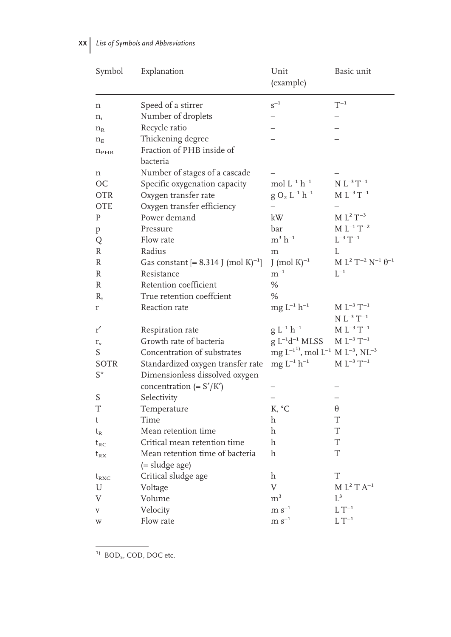**XX** *List of Symbols and Abbreviations*

| Symbol                        | Explanation                                       | Unit<br>(example)                                                                                    | Basic unit                                                                    |
|-------------------------------|---------------------------------------------------|------------------------------------------------------------------------------------------------------|-------------------------------------------------------------------------------|
| n                             | Speed of a stirrer                                | $s^{-1}$                                                                                             | $T^{-1}$                                                                      |
| $n_i$                         | Number of droplets                                |                                                                                                      |                                                                               |
| $n_{R}$                       | Recycle ratio                                     |                                                                                                      |                                                                               |
| $n_{\scriptscriptstyle\rm E}$ | Thickening degree                                 |                                                                                                      |                                                                               |
| $n_{\rm PHB}$                 | Fraction of PHB inside of                         |                                                                                                      |                                                                               |
|                               | bacteria                                          |                                                                                                      |                                                                               |
| n                             | Number of stages of a cascade                     |                                                                                                      |                                                                               |
| OC                            | Specific oxygenation capacity                     | mol $\mathop{\hbox{\rm L}}\nolimits^{-1}$ $\mathop{\hbox{\rm h}}\nolimits^{-1}$                      | $N\ L^{-3}\ T^{-1}$                                                           |
| <b>OTR</b>                    | Oxygen transfer rate                              | $g O_2 L^{-1} h^{-1}$                                                                                | $M\ L^{-3}\ T^{-1}$                                                           |
| OTE                           | Oxygen transfer efficiency                        |                                                                                                      |                                                                               |
| $\mathbf{P}$                  | Power demand                                      | kW                                                                                                   | $M L^2 T^{-3}$                                                                |
| p                             | Pressure                                          | bar                                                                                                  | $\mathbf{M}$ $\mathbf{L}^{-1}$ $\mathbf{T}^{-2}$                              |
| Q                             | Flow rate                                         | $\mathrm{m}^3 \; \mathrm{h}^{-1}$                                                                    | $\mathbf{L}^{-3}$ $\mathbf{T}^{-1}$                                           |
| R                             | Radius                                            | m                                                                                                    | L                                                                             |
| R                             | Gas constant $[= 8.314$ J (mol K) <sup>-1</sup> ] | J (mol $K$ ) <sup>-1</sup>                                                                           | $M L^2 T^{-2} N^{-1} \theta^{-1}$                                             |
| R                             | Resistance                                        | $\mathrm{m}^{-1}$                                                                                    | $I^{-1}$                                                                      |
| $\mathbb{R}$                  | Retention coefficient                             | ℅                                                                                                    |                                                                               |
| $R_t$                         | True retention coeffcient                         | %                                                                                                    |                                                                               |
| r                             | Reaction rate                                     | $mg L^{-1} h^{-1}$                                                                                   | $M~\mathrm{L}^{-3}~\mathrm{T}^{-1}$                                           |
|                               |                                                   |                                                                                                      | $\rm N~L^{-3}~T^{-1}$                                                         |
| r                             | Respiration rate                                  | $g L^{-1} h^{-1}$                                                                                    | $M L^{-3} T^{-1}$                                                             |
| $\rm r_x$                     | Growth rate of bacteria                           | $g L^{-1} d^{-1}$ MLSS                                                                               | $M L^{-3} T^{-1}$                                                             |
| S                             | Concentration of substrates                       | ${\rm mg} \; {\rm L}^{-1^1}, {\rm mol} \; {\rm L}^{-1} \; {\rm M} \; {\rm L}^{-3}, \, {\rm NL}^{-3}$ |                                                                               |
| <b>SOTR</b>                   | Standardized oxygen transfer rate                 | $mg L^{-1} h^{-1}$                                                                                   | M $\mathop{\hbox{\rm L}}\nolimits^{-3}$ $\mathop{\hbox{\rm T}}\nolimits^{-1}$ |
| $S^*$                         | Dimensionless dissolved oxygen                    |                                                                                                      |                                                                               |
|                               | concentration $(= S'/K')$                         |                                                                                                      |                                                                               |
| S                             | Selectivity                                       |                                                                                                      |                                                                               |
| т                             | Temperature                                       | K, °C                                                                                                | θ                                                                             |
| t                             | Time                                              | h                                                                                                    | T                                                                             |
| $\rm t_R$                     | Mean retention time                               | h                                                                                                    | T                                                                             |
| $t_{RC}$                      | Critical mean retention time                      | h                                                                                                    | T                                                                             |
| $\rm t_{\rm RX}$              | Mean retention time of bacteria                   | h                                                                                                    | T                                                                             |
|                               | (= sludge age)                                    |                                                                                                      |                                                                               |
| $t_{RXC}$                     | Critical sludge age                               | h                                                                                                    | T                                                                             |
| U                             | Voltage                                           | V                                                                                                    | M $L^2$ T $A^{-1}$                                                            |
| V                             | Volume                                            | m <sup>3</sup>                                                                                       | $L^3$                                                                         |
| $\rm{V}$                      | Velocity                                          | $m s^{-1}$                                                                                           | ${\rm L}\;{\rm T}^{-1}$                                                       |
| W                             | Flow rate                                         | $m s^{-1}$                                                                                           | $\mathop{\rm L} T^{-1}$                                                       |

 $\overline{1}$  BOD<sub>5</sub>, COD, DOC etc.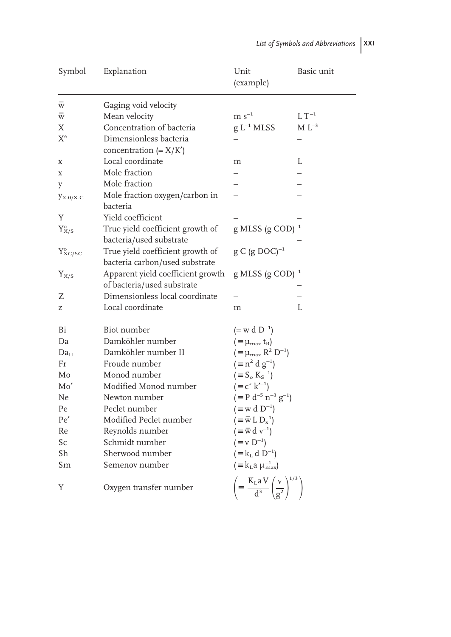|                               |                                                                    |                                                                                                           | List of Symbols and Abbreviations   XXI |
|-------------------------------|--------------------------------------------------------------------|-----------------------------------------------------------------------------------------------------------|-----------------------------------------|
| Symbol                        | Explanation                                                        | Unit<br>(example)                                                                                         | Basic unit                              |
| $\overline{w}$                | Gaging void velocity                                               |                                                                                                           |                                         |
| $\bar{\mathrm{w}}$            | Mean velocity                                                      | $\rm m~s^{-1}$                                                                                            | $\mathop{\rm L} T^{-1}$                 |
| Χ                             | Concentration of bacteria                                          | $g L^{-1}$ MLSS                                                                                           | $M L^{-3}$                              |
| $X^*$                         | Dimensionless bacteria<br>concentration $(= X/K')$                 |                                                                                                           |                                         |
| X                             | Local coordinate                                                   | m                                                                                                         | L                                       |
| X                             | Mole fraction                                                      |                                                                                                           |                                         |
| y                             | Mole fraction                                                      |                                                                                                           |                                         |
| $y_{X-0/X-C}$                 | Mole fraction oxygen/carbon in<br>bacteria                         |                                                                                                           |                                         |
| Y                             | Yield coefficient                                                  |                                                                                                           |                                         |
| $Y_{X/S}^{\rm o}$             | True yield coefficient growth of<br>bacteria/used substrate        | g MLSS (g $\text{COD}$ ) <sup>-1</sup>                                                                    |                                         |
| $Y_{\text{XC/SC}}^{\text{o}}$ | True yield coefficient growth of<br>bacteria carbon/used substrate | $g C (g DOC)^{-1}$                                                                                        |                                         |
| $Y_{X/S}$                     | Apparent yield coefficient growth<br>of bacteria/used substrate    | g MLSS (g $\text{COD}$ ) <sup>-1</sup>                                                                    |                                         |
| 7.                            | Dimensionless local coordinate                                     |                                                                                                           |                                         |
| Z.                            | Local coordinate                                                   | m                                                                                                         | L.                                      |
| Bi                            | Biot number                                                        | $(= w d D^{-1})$                                                                                          |                                         |
| Da                            | Damköhler number                                                   | $( \equiv \mu_{\rm max} t_{\rm R})$                                                                       |                                         |
| Da <sub>II</sub>              | Damköhler number II                                                | $( \equiv \mu_{\rm max} R^2 D^{-1})$                                                                      |                                         |
| Fr                            | Froude number                                                      | $( \equiv n^2 d g^{-1})$                                                                                  |                                         |
| Mo                            | Monod number                                                       | $($ = S <sub>o</sub> K <sub>s</sub> <sup>-1</sup> )                                                       |                                         |
| Mo'                           | Modified Monod number                                              | $(= c^* k'^{-1})$                                                                                         |                                         |
| Ne                            | Newton number                                                      | $( \equiv P d^{-5} n^{-3} g^{-1})$                                                                        |                                         |
| Pe                            | Peclet number                                                      | $( \equiv w \, d \, D^{-1})$                                                                              |                                         |
| Pe'                           | Modified Peclet number                                             | $( \equiv \overline{w} L D_x^{-1})$                                                                       |                                         |
| Re                            | Reynolds number                                                    | $( \equiv \overline{w} d v^{-1})$                                                                         |                                         |
| Sc                            | Schmidt number                                                     | $( \equiv v D^{-1})$                                                                                      |                                         |
| Sh                            | Sherwood number                                                    | $( \equiv k_L d D^{-1})$                                                                                  |                                         |
| Sm                            | Semenov number                                                     | $( \equiv k_L a \mu_{\text{max}}^{-1})$                                                                   |                                         |
| Y                             | Oxygen transfer number                                             | $\mathbf{E} = \frac{\mathbf{K}_{\rm L} \mathbf{a} \mathbf{V}}{d^3} \left( \frac{\mathbf{v}}{g^2} \right)$ |                                         |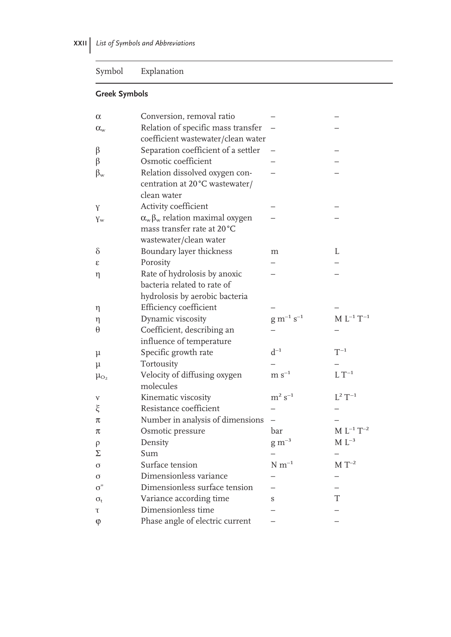# Symbol Explanation

# **Greek Symbols**

| $\alpha$         | Conversion, removal ratio                              |                       |                                                                             |
|------------------|--------------------------------------------------------|-----------------------|-----------------------------------------------------------------------------|
| $\alpha_{\rm w}$ | Relation of specific mass transfer                     |                       |                                                                             |
|                  | coefficient wastewater/clean water                     |                       |                                                                             |
| β                | Separation coefficient of a settler                    |                       |                                                                             |
| β                | Osmotic coefficient                                    |                       |                                                                             |
| $\beta_{\rm w}$  | Relation dissolved oxygen con-                         |                       |                                                                             |
|                  | centration at 20°C wastewater/                         |                       |                                                                             |
|                  | clean water                                            |                       |                                                                             |
| Y                | Activity coefficient                                   |                       |                                                                             |
| $V_{\rm w}$      | $\alpha_{\rm w} \beta_{\rm w}$ relation maximal oxygen |                       |                                                                             |
|                  | mass transfer rate at 20°C                             |                       |                                                                             |
|                  | wastewater/clean water                                 |                       |                                                                             |
| δ                | Boundary layer thickness                               | m                     | L                                                                           |
| ε                | Porosity                                               |                       |                                                                             |
| η                | Rate of hydrolosis by anoxic                           |                       |                                                                             |
|                  | bacteria related to rate of                            |                       |                                                                             |
|                  | hydrolosis by aerobic bacteria                         |                       |                                                                             |
| η                | Efficiency coefficient                                 |                       |                                                                             |
| η                | Dynamic viscosity                                      | $\rm g~m^{-1}~s^{-1}$ | M $\mathop{\hbox{\rm L}}\nolimits^{-1} \mathop{\hbox{\rm T}}\nolimits^{-1}$ |
| $\theta$         | Coefficient, describing an                             |                       |                                                                             |
|                  | influence of temperature                               |                       |                                                                             |
| μ                | Specific growth rate                                   | $\mathrm{d}^{-1}$     | $T^{-1}$                                                                    |
| μ                | Tortousity                                             |                       |                                                                             |
| $\mu_{O_2}$      | Velocity of diffusing oxygen                           | ${\rm m~s^{-1}}$      | $LT^{-1}$                                                                   |
|                  | molecules                                              |                       |                                                                             |
| ν                | Kinematic viscosity                                    | $m^2$ s <sup>-1</sup> | $L^2T^{-1}$                                                                 |
| ξ                | Resistance coefficient                                 |                       |                                                                             |
| π                | Number in analysis of dimensions                       |                       |                                                                             |
| π                | Osmotic pressure                                       | bar                   | $\mathbf{M}$ $\mathbf{L}^{-1}$ $\mathbf{T}^{-2}$                            |
| ρ                | Density                                                | $\rm g\ m^{-3}$       | $M L^{-3}$                                                                  |
| Σ                | Sum                                                    |                       |                                                                             |
| σ                | Surface tension                                        | $N \; \text{m}^{-1}$  | $M T^{-2}$                                                                  |
| σ                | Dimensionless variance                                 |                       |                                                                             |
| $\sigma^*$       | Dimensionless surface tension                          |                       |                                                                             |
| $\sigma_{t}$     | Variance according time                                | S                     | T                                                                           |
| τ                | Dimensionless time                                     |                       |                                                                             |
| φ                | Phase angle of electric current                        |                       |                                                                             |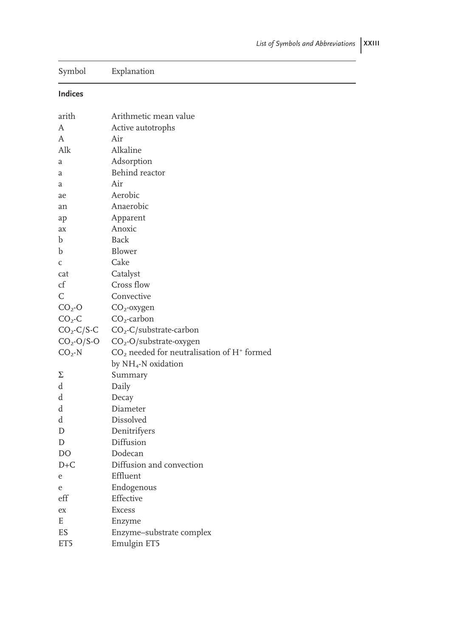Symbol Explanation

## **Indices**

| arith         | Arithmetic mean value                                              |
|---------------|--------------------------------------------------------------------|
| A             | Active autotrophs                                                  |
| A             | Air                                                                |
| Alk           | Alkaline                                                           |
| a             | Adsorption                                                         |
| a             | Behind reactor                                                     |
| a             | Air                                                                |
| ae            | Aerobic                                                            |
| an            | Anaerobic                                                          |
| ap            | Apparent                                                           |
| ax            | Anoxic                                                             |
| b             | Back                                                               |
| b             | Blower                                                             |
| C             | Cake                                                               |
| cat           | Catalyst                                                           |
| $\mathsf{cf}$ | Cross flow                                                         |
| $\mathsf C$   | Convective                                                         |
| $CO2$ -O      | CO <sub>2</sub> -oxygen                                            |
| $CO2$ -C      | $CO2$ -carbon                                                      |
| $CO2-C/S-C$   | $CO2$ -C/substrate-carbon                                          |
| $CO2$ -O/S-O  | CO <sub>2</sub> -O/substrate-oxygen                                |
| $CO2$ -N      | CO <sub>2</sub> needed for neutralisation of H <sup>+</sup> formed |
|               | by NH <sub>4</sub> -N oxidation                                    |
| Σ             | Summary                                                            |
| d             | Daily                                                              |
| d             | Decay                                                              |
| d             | Diameter                                                           |
| d             | Dissolved                                                          |
| D             | Denitrifyers                                                       |
| D             | Diffusion                                                          |
| DO            | Dodecan                                                            |
| $D+C$         | Diffusion and convection                                           |
| e             | Effluent                                                           |
| e             | Endogenous                                                         |
| $_{\rm eff}$  | Effective                                                          |
| ex            | <b>Excess</b>                                                      |
| E             | Enzyme                                                             |
| ES            | Enzyme-substrate complex                                           |
| ET5           | Emulgin ET5                                                        |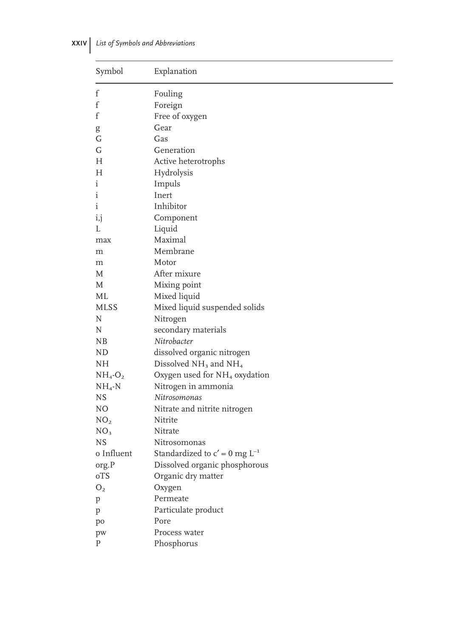| Symbol          | Explanation                                   |
|-----------------|-----------------------------------------------|
| f               | Fouling                                       |
| f               | Foreign                                       |
| f               | Free of oxygen                                |
| g               | Gear                                          |
| G               | Gas                                           |
| G               | Generation                                    |
| Н               | Active heterotrophs                           |
| H               | Hydrolysis                                    |
| i               | Impuls                                        |
| i               | Inert                                         |
| i               | Inhibitor                                     |
| i,j             | Component                                     |
| L               | Liquid                                        |
| max             | Maximal                                       |
| m               | Membrane                                      |
| m               | Motor                                         |
| М               | After mixure                                  |
| M               | Mixing point                                  |
| ML              | Mixed liquid                                  |
| <b>MLSS</b>     | Mixed liquid suspended solids                 |
| N               | Nitrogen                                      |
| N               | secondary materials                           |
| NB              | Nitrobacter                                   |
| ND              | dissolved organic nitrogen                    |
| NH              | Dissolved NH <sub>3</sub> and NH <sub>4</sub> |
| $NH_4$ - $O_2$  | Oxygen used for NH <sub>4</sub> oxydation     |
| $NH_{4}-N$      | Nitrogen in ammonia                           |
| <b>NS</b>       | Nitrosomonas                                  |
| NΟ              | Nitrate and nitrite nitrogen                  |
| NO <sub>2</sub> | Nitrite                                       |
| NO <sub>3</sub> | Nitrate                                       |
| <b>NS</b>       | Nitrosomonas                                  |
| o Influent      | Standardized to $c' = 0$ mg $L^{-1}$          |
| org.P           | Dissolved organic phosphorous                 |
| oTS             | Organic dry matter                            |
| O <sub>2</sub>  | Oxygen                                        |
| p               | Permeate                                      |
| p               | Particulate product                           |
| po              | Pore                                          |
| pw              | Process water                                 |
| P               | Phosphorus                                    |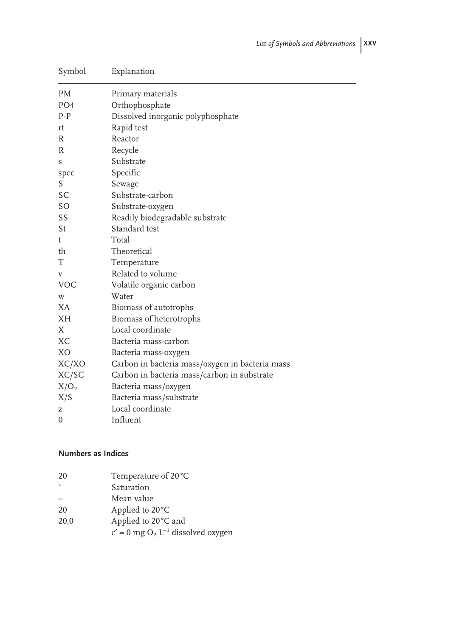| Symbol           | Explanation                                     |
|------------------|-------------------------------------------------|
| PM               | Primary materials                               |
| PO <sub>4</sub>  | Orthophosphate                                  |
| $P-P$            | Dissolved inorganic polyphosphate               |
| rt               | Rapid test                                      |
| R                | Reactor                                         |
| R                | Recycle                                         |
| S                | Substrate                                       |
| spec             | Specific                                        |
| S                | Sewage                                          |
| <b>SC</b>        | Substrate-carbon                                |
| SO               | Substrate-oxygen                                |
| SS               | Readily biodegradable substrate                 |
| St               | Standard test                                   |
| t                | Total                                           |
| th               | Theoretical                                     |
| т                | Temperature                                     |
| V                | Related to volume                               |
| <b>VOC</b>       | Volatile organic carbon                         |
| W                | Water                                           |
| XA               | Biomass of autotrophs                           |
| XH               | Biomass of heterotrophs                         |
| Χ                | Local coordinate                                |
| XC               | Bacteria mass-carbon                            |
| XO               | Bacteria mass-oxygen                            |
| XC/XO            | Carbon in bacteria mass/oxygen in bacteria mass |
| XC/SC            | Carbon in bacteria mass/carbon in substrate     |
| X/O <sub>2</sub> | Bacteria mass/oxygen                            |
| X/S              | Bacteria mass/substrate                         |
| Z                | Local coordinate                                |
| $\mathbf{0}$     | Influent                                        |

## **Numbers as Indices**

| 20           | Temperature of 20 °C                                        |
|--------------|-------------------------------------------------------------|
| $\mathbf{r}$ | Saturation                                                  |
|              | Mean value                                                  |
| 20           | Applied to 20 °C                                            |
| 20,0         | Applied to 20 °C and                                        |
|              | $c' = 0$ mg O <sub>2</sub> L <sup>-1</sup> dissolved oxygen |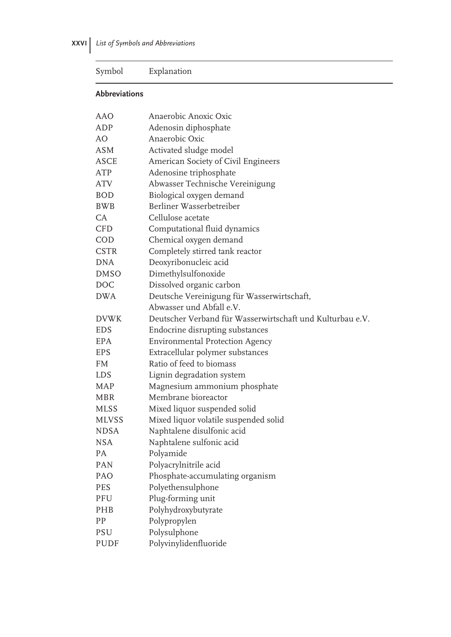Symbol Explanation

## **Abbreviations**

| AAO          | Anaerobic Anoxic Oxic                                     |
|--------------|-----------------------------------------------------------|
| ADP          | Adenosin diphosphate                                      |
| AO           | Anaerobic Oxic                                            |
| ASM          | Activated sludge model                                    |
| ASCE         | American Society of Civil Engineers                       |
| ATP          | Adenosine triphosphate                                    |
| <b>ATV</b>   | Abwasser Technische Vereinigung                           |
| <b>BOD</b>   | Biological oxygen demand                                  |
| <b>BWB</b>   | Berliner Wasserbetreiber                                  |
| CA           | Cellulose acetate                                         |
| <b>CFD</b>   | Computational fluid dynamics                              |
| COD          | Chemical oxygen demand                                    |
| <b>CSTR</b>  | Completely stirred tank reactor                           |
| <b>DNA</b>   | Deoxyribonucleic acid                                     |
| <b>DMSO</b>  | Dimethylsulfonoxide                                       |
| DOC          | Dissolved organic carbon                                  |
| <b>DWA</b>   | Deutsche Vereinigung für Wasserwirtschaft,                |
|              | Abwasser und Abfall e.V.                                  |
| <b>DVWK</b>  | Deutscher Verband für Wasserwirtschaft und Kulturbau e.V. |
| <b>EDS</b>   | Endocrine disrupting substances                           |
| <b>EPA</b>   | <b>Environmental Protection Agency</b>                    |
| EPS          | Extracellular polymer substances                          |
| FM           | Ratio of feed to biomass                                  |
| LDS          | Lignin degradation system                                 |
| MAP          | Magnesium ammonium phosphate                              |
| <b>MBR</b>   | Membrane bioreactor                                       |
| <b>MLSS</b>  | Mixed liquor suspended solid                              |
| <b>MLVSS</b> | Mixed liquor volatile suspended solid                     |
| <b>NDSA</b>  | Naphtalene disulfonic acid                                |
| <b>NSA</b>   | Naphtalene sulfonic acid                                  |
| PА           | Polyamide                                                 |
| <b>PAN</b>   | Polyacrylnitrile acid                                     |
| PAO          | Phosphate-accumulating organism                           |
| <b>PES</b>   | Polyethensulphone                                         |
| PFU          | Plug-forming unit                                         |
| PHB          | Polyhydroxybutyrate                                       |
| PP           | Polypropylen                                              |
| PSU          | Polysulphone                                              |
| PUDF         | Polyvinylidenfluoride                                     |